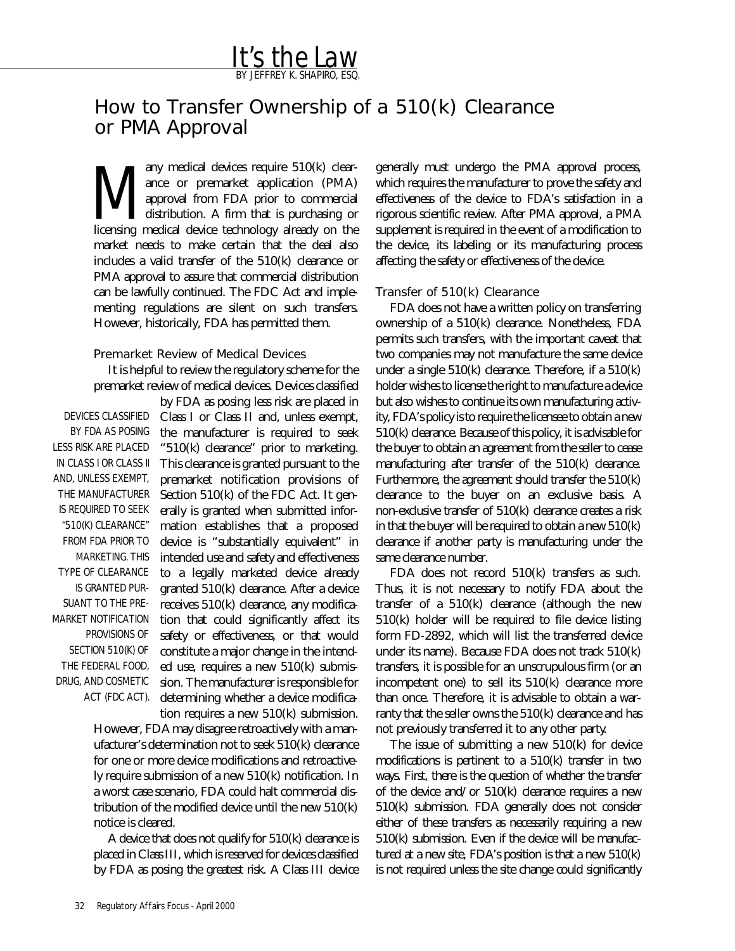## BY JEFFREY K. SHAPIRO, ESQ. It's the Law

# How to Transfer Ownership of a 510(k) Clearance or PMA Approval

any medical devices require 510(k) clearance or premarket application (PMA) approval from FDA prior to commercial distribution. A firm that is purchasing or any medical devices require 510(k) clear-<br>ance or premarket application (PMA)<br>approval from FDA prior to commercial<br>distribution. A firm that is purchasing or<br>licensing medical device technology already on the market needs to make certain that the deal also includes a valid transfer of the 510(k) clearance or PMA approval to assure that commercial distribution can be lawfully continued. The FDC Act and implementing regulations are silent on such transfers. However, historically, FDA has permitted them.

#### Premarket Review of Medical Devices

It is helpful to review the regulatory scheme for the premarket review of medical devices. Devices classified

DEVICES CLASSIFIED BY FDA AS POSING LESS RISK ARE PLACED IN CLASS I OR CLASS II AND, UNLESS EXEMPT, THE MANUFACTURER IS REQUIRED TO SEEK "510(K) CLEARANCE" FROM FDA PRIOR TO MARKETING. THIS TYPE OF CLEARANCE IS GRANTED PUR-SUANT TO THE PRE-MARKET NOTIFICATION PROVISIONS OF SECTION 510(K) OF THE FEDERAL FOOD, DRUG, AND COSMETIC ACT (FDC ACT).

by FDA as posing less risk are placed in Class I or Class II and, unless exempt, the manufacturer is required to seek "510(k) clearance" prior to marketing. This clearance is granted pursuant to the premarket notification provisions of Section 510(k) of the FDC Act. It generally is granted when submitted information establishes that a proposed device is "substantially equivalent" in intended use and safety and effectiveness to a legally marketed device already granted 510(k) clearance. After a device receives 510(k) clearance, any modification that could significantly affect its safety or effectiveness, or that would constitute a major change in the intended use, requires a new 510(k) submission. The manufacturer is responsible for determining whether a device modifica-

tion requires a new 510(k) submission. However, FDA may disagree retroactively with a manufacturer's determination not to seek 510(k) clearance for one or more device modifications and retroactively require submission of a new 510(k) notification. In a worst case scenario, FDA could halt commercial distribution of the modified device until the new 510(k) notice is cleared.

A device that does not qualify for 510(k) clearance is placed in Class III, which is reserved for devices classified by FDA as posing the greatest risk. A Class III device generally must undergo the PMA approval process, which requires the manufacturer to prove the safety and effectiveness of the device to FDA's satisfaction in a rigorous scientific review. After PMA approval, a PMA supplement is required in the event of a modification to the device, its labeling or its manufacturing process affecting the safety or effectiveness of the device.

### Transfer of 510(k) Clearance

FDA does not have a written policy on transferring ownership of a 510(k) clearance. Nonetheless, FDA permits such transfers, with the important caveat that two companies may not manufacture the same device under a single 510(k) clearance. Therefore, if a 510(k) holder wishes to license the right to manufacture a device but also wishes to continue its own manufacturing activity, FDA's policy is to require the licensee to obtain a new 510(k) clearance. Because of this policy, it is advisable for the buyer to obtain an agreement from the seller to cease manufacturing after transfer of the 510(k) clearance. Furthermore, the agreement should transfer the 510(k) clearance to the buyer on an exclusive basis. A non-exclusive transfer of 510(k) clearance creates a risk in that the buyer will be required to obtain a new 510(k) clearance if another party is manufacturing under the same clearance number.

FDA does not record 510(k) transfers as such. Thus, it is not necessary to notify FDA about the transfer of a 510(k) clearance (although the new 510(k) holder will be required to file device listing form FD-2892, which will list the transferred device under its name). Because FDA does not track 510(k) transfers, it is possible for an unscrupulous firm (or an incompetent one) to sell its 510(k) clearance more than once. Therefore, it is advisable to obtain a warranty that the seller owns the 510(k) clearance and has not previously transferred it to any other party.

The issue of submitting a new 510(k) for device modifications is pertinent to a 510(k) transfer in two ways. First, there is the question of whether the transfer of the device and/or  $510(k)$  clearance requires a new 510(k) submission. FDA generally does not consider either of these transfers as necessarily requiring a new 510(k) submission. Even if the device will be manufactured at a new site, FDA's position is that a new 510(k) is not required unless the site change could significantly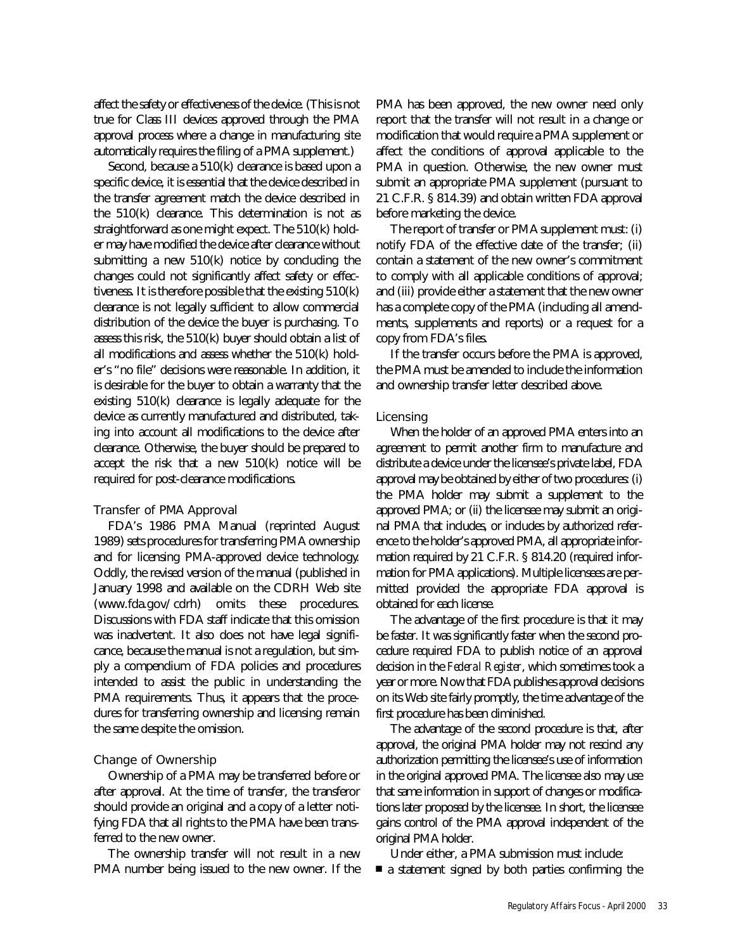affect the safety or effectiveness of the device. (This is not true for Class III devices approved through the PMA approval process where a change in manufacturing site automatically requires the filing of a PMA supplement.)

Second, because a 510(k) clearance is based upon a specific device, it is essential that the device described in the transfer agreement match the device described in the 510(k) clearance. This determination is not as straightforward as one might expect. The 510(k) holder may have modified the device after clearance without submitting a new 510(k) notice by concluding the changes could not significantly affect safety or effectiveness. It is therefore possible that the existing 510(k) clearance is not legally sufficient to allow commercial distribution of the device the buyer is purchasing. To assess this risk, the 510(k) buyer should obtain a list of all modifications and assess whether the 510(k) holder's "no file" decisions were reasonable. In addition, it is desirable for the buyer to obtain a warranty that the existing 510(k) clearance is legally adequate for the device as currently manufactured and distributed, taking into account all modifications to the device after clearance. Otherwise, the buyer should be prepared to accept the risk that a new 510(k) notice will be required for post-clearance modifications.

#### Transfer of PMA Approval

FDA's 1986 PMA Manual (reprinted August 1989) sets procedures for transferring PMA ownership and for licensing PMA-approved device technology. Oddly, the revised version of the manual (published in January 1998 and available on the CDRH Web site (www.fda.gov/cdrh) omits these procedures. Discussions with FDA staff indicate that this omission was inadvertent. It also does not have legal significance, because the manual is not a regulation, but simply a compendium of FDA policies and procedures intended to assist the public in understanding the PMA requirements. Thus, it appears that the procedures for transferring ownership and licensing remain the same despite the omission.

#### Change of Ownership

Ownership of a PMA may be transferred before or after approval. At the time of transfer, the transferor should provide an original and a copy of a letter notifying FDA that all rights to the PMA have been transferred to the new owner.

The ownership transfer will not result in a new PMA number being issued to the new owner. If the PMA has been approved, the new owner need only report that the transfer will not result in a change or modification that would require a PMA supplement or affect the conditions of approval applicable to the PMA in question. Otherwise, the new owner must submit an appropriate PMA supplement (pursuant to 21 C.F.R. § 814.39) and obtain written FDA approval before marketing the device.

The report of transfer or PMA supplement must: (i) notify FDA of the effective date of the transfer; (ii) contain a statement of the new owner's commitment to comply with all applicable conditions of approval; and (iii) provide either a statement that the new owner has a complete copy of the PMA (including all amendments, supplements and reports) or a request for a copy from FDA's files.

If the transfer occurs before the PMA is approved, the PMA must be amended to include the information and ownership transfer letter described above.

#### Licensing

When the holder of an approved PMA enters into an agreement to permit another firm to manufacture and distribute a device under the licensee's private label, FDA approval may be obtained by either of two procedures: (i) the PMA holder may submit a supplement to the approved PMA; or (ii) the licensee may submit an original PMA that includes, or includes by authorized reference to the holder's approved PMA, all appropriate information required by 21 C.F.R. § 814.20 (required information for PMA applications). Multiple licensees are permitted provided the appropriate FDA approval is obtained for each license.

The advantage of the first procedure is that it may be faster. It was significantly faster when the second procedure required FDA to publish notice of an approval decision in the *Federal Register*, which sometimes took a year or more. Now that FDA publishes approval decisions on its Web site fairly promptly, the time advantage of the first procedure has been diminished.

The advantage of the second procedure is that, after approval, the original PMA holder may not rescind any authorization permitting the licensee's use of information in the original approved PMA. The licensee also may use that same information in support of changes or modifications later proposed by the licensee. In short, the licensee gains control of the PMA approval independent of the original PMA holder.

Under either, a PMA submission must include:  $\blacksquare$  a statement signed by both parties confirming the